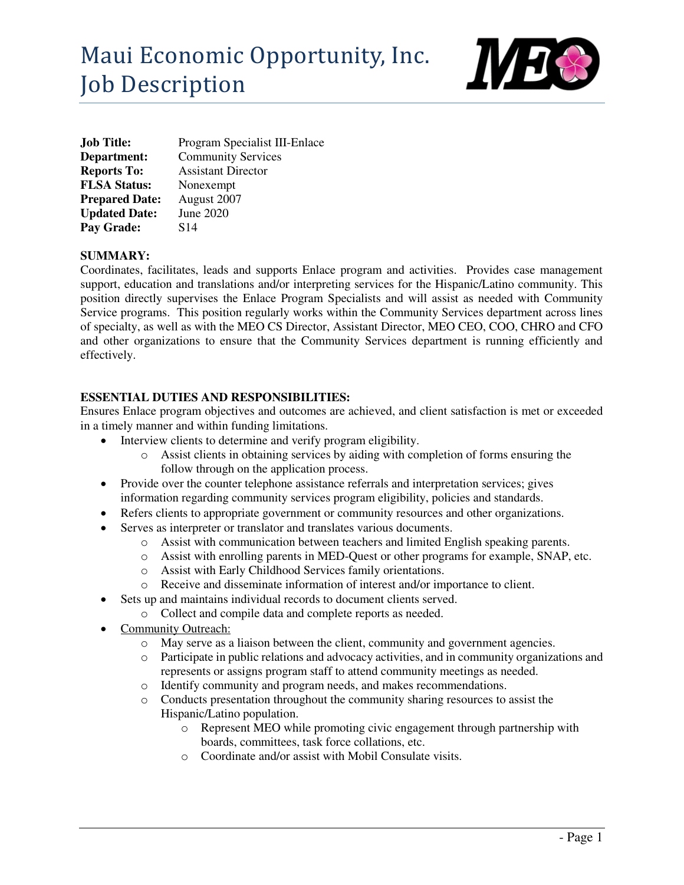

| <b>Job Title:</b>     | Program Specialist III-Enlace |
|-----------------------|-------------------------------|
| Department:           | <b>Community Services</b>     |
| <b>Reports To:</b>    | <b>Assistant Director</b>     |
| <b>FLSA Status:</b>   | Nonexempt                     |
| <b>Prepared Date:</b> | August 2007                   |
| <b>Updated Date:</b>  | June 2020                     |
| Pay Grade:            | S <sub>14</sub>               |

# **SUMMARY:**

Coordinates, facilitates, leads and supports Enlace program and activities. Provides case management support, education and translations and/or interpreting services for the Hispanic/Latino community. This position directly supervises the Enlace Program Specialists and will assist as needed with Community Service programs. This position regularly works within the Community Services department across lines of specialty, as well as with the MEO CS Director, Assistant Director, MEO CEO, COO, CHRO and CFO and other organizations to ensure that the Community Services department is running efficiently and effectively.

## **ESSENTIAL DUTIES AND RESPONSIBILITIES:**

Ensures Enlace program objectives and outcomes are achieved, and client satisfaction is met or exceeded in a timely manner and within funding limitations.

- Interview clients to determine and verify program eligibility.
	- o Assist clients in obtaining services by aiding with completion of forms ensuring the follow through on the application process.
- Provide over the counter telephone assistance referrals and interpretation services; gives information regarding community services program eligibility, policies and standards.
- Refers clients to appropriate government or community resources and other organizations.
- Serves as interpreter or translator and translates various documents.
	- o Assist with communication between teachers and limited English speaking parents.
	- o Assist with enrolling parents in MED-Quest or other programs for example, SNAP, etc.
	- o Assist with Early Childhood Services family orientations.
	- o Receive and disseminate information of interest and/or importance to client.
- Sets up and maintains individual records to document clients served.
	- o Collect and compile data and complete reports as needed.
- Community Outreach:
	- o May serve as a liaison between the client, community and government agencies.
	- o Participate in public relations and advocacy activities, and in community organizations and represents or assigns program staff to attend community meetings as needed.
	- o Identify community and program needs, and makes recommendations.
	- o Conducts presentation throughout the community sharing resources to assist the Hispanic/Latino population.
		- o Represent MEO while promoting civic engagement through partnership with boards, committees, task force collations, etc.
		- o Coordinate and/or assist with Mobil Consulate visits.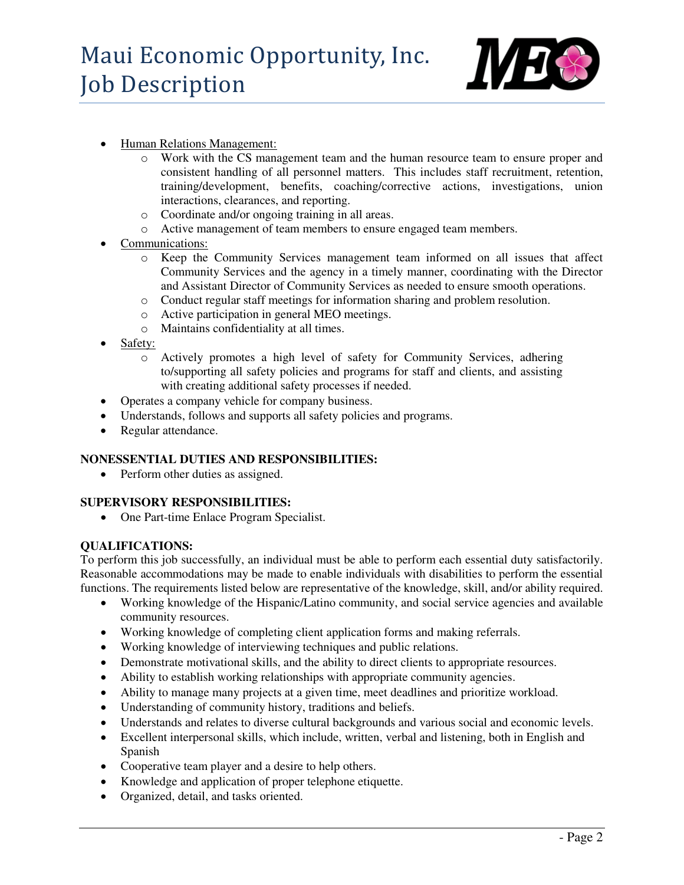

- Human Relations Management:
	- o Work with the CS management team and the human resource team to ensure proper and consistent handling of all personnel matters. This includes staff recruitment, retention, training/development, benefits, coaching/corrective actions, investigations, union interactions, clearances, and reporting.
	- o Coordinate and/or ongoing training in all areas.
	- o Active management of team members to ensure engaged team members.
- Communications:
	- o Keep the Community Services management team informed on all issues that affect Community Services and the agency in a timely manner, coordinating with the Director and Assistant Director of Community Services as needed to ensure smooth operations.
	- o Conduct regular staff meetings for information sharing and problem resolution.
	- o Active participation in general MEO meetings.
	- o Maintains confidentiality at all times.
- Safety:
	- o Actively promotes a high level of safety for Community Services, adhering to/supporting all safety policies and programs for staff and clients, and assisting with creating additional safety processes if needed.
- Operates a company vehicle for company business.
- Understands, follows and supports all safety policies and programs.
- Regular attendance.

### **NONESSENTIAL DUTIES AND RESPONSIBILITIES:**

• Perform other duties as assigned.

### **SUPERVISORY RESPONSIBILITIES:**

One Part-time Enlace Program Specialist.

### **QUALIFICATIONS:**

To perform this job successfully, an individual must be able to perform each essential duty satisfactorily. Reasonable accommodations may be made to enable individuals with disabilities to perform the essential functions. The requirements listed below are representative of the knowledge, skill, and/or ability required.

- Working knowledge of the Hispanic/Latino community, and social service agencies and available community resources.
- Working knowledge of completing client application forms and making referrals.
- Working knowledge of interviewing techniques and public relations.
- Demonstrate motivational skills, and the ability to direct clients to appropriate resources.
- Ability to establish working relationships with appropriate community agencies.
- Ability to manage many projects at a given time, meet deadlines and prioritize workload.
- Understanding of community history, traditions and beliefs.
- Understands and relates to diverse cultural backgrounds and various social and economic levels.
- Excellent interpersonal skills, which include, written, verbal and listening, both in English and Spanish
- Cooperative team player and a desire to help others.
- Knowledge and application of proper telephone etiquette.
- Organized, detail, and tasks oriented.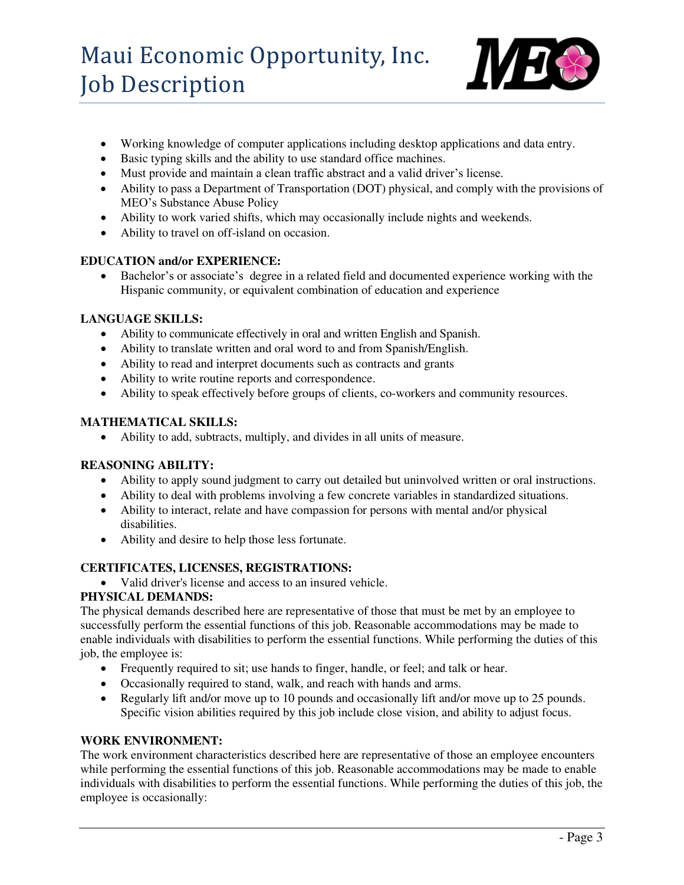

- Working knowledge of computer applications including desktop applications and data entry.
- Basic typing skills and the ability to use standard office machines.
- Must provide and maintain a clean traffic abstract and a valid driver's license.
- Ability to pass a Department of Transportation (DOT) physical, and comply with the provisions of MEO's Substance Abuse Policy
- Ability to work varied shifts, which may occasionally include nights and weekends.
- Ability to travel on off-island on occasion.

## **EDUCATION and/or EXPERIENCE:**

 Bachelor's or associate's degree in a related field and documented experience working with the Hispanic community, or equivalent combination of education and experience

## **LANGUAGE SKILLS:**

- Ability to communicate effectively in oral and written English and Spanish.
- Ability to translate written and oral word to and from Spanish/English.
- Ability to read and interpret documents such as contracts and grants
- Ability to write routine reports and correspondence.
- Ability to speak effectively before groups of clients, co-workers and community resources.

### **MATHEMATICAL SKILLS:**

Ability to add, subtracts, multiply, and divides in all units of measure.

## **REASONING ABILITY:**

- Ability to apply sound judgment to carry out detailed but uninvolved written or oral instructions.
- Ability to deal with problems involving a few concrete variables in standardized situations.
- Ability to interact, relate and have compassion for persons with mental and/or physical disabilities.
- Ability and desire to help those less fortunate.

## **CERTIFICATES, LICENSES, REGISTRATIONS:**

• Valid driver's license and access to an insured vehicle.

# **PHYSICAL DEMANDS:**

The physical demands described here are representative of those that must be met by an employee to successfully perform the essential functions of this job. Reasonable accommodations may be made to enable individuals with disabilities to perform the essential functions. While performing the duties of this job, the employee is:

- Frequently required to sit; use hands to finger, handle, or feel; and talk or hear.
- Occasionally required to stand, walk, and reach with hands and arms.
- Regularly lift and/or move up to 10 pounds and occasionally lift and/or move up to 25 pounds. Specific vision abilities required by this job include close vision, and ability to adjust focus.

### **WORK ENVIRONMENT:**

The work environment characteristics described here are representative of those an employee encounters while performing the essential functions of this job. Reasonable accommodations may be made to enable individuals with disabilities to perform the essential functions. While performing the duties of this job, the employee is occasionally: